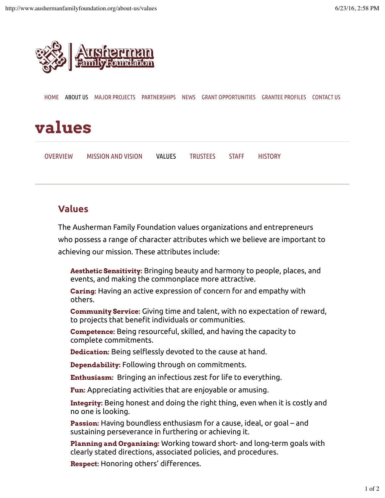

HOME ABOUT US MAJOR PROJECTS PARTNERSHIPS NEWS GRANT OPPORTUNITIES GRANTEE PROFILES CONTACT US

## **values**

| <b>OVERVIEW</b> | <b>MISSION AND VISION</b> | <b>VALUES</b> | <b>TRUSTEES</b> | <b>STAFF</b> | <b>HISTORY</b> |
|-----------------|---------------------------|---------------|-----------------|--------------|----------------|
|                 |                           |               |                 |              |                |

## **Values**

The Ausherman Family Foundation values organizations and entrepreneurs

who possess a range of character attributes which we believe are important to achieving our mission. These attributes include:

**Aesthetic Sensitivity:** Bringing beauty and harmony to people, places, and events, and making the commonplace more attractive.

**Caring:** Having an active expression of concern for and empathy with others.

**Community Service:** Giving time and talent, with no expectation of reward, to projects that benefit individuals or communities.

**Competence:** Being resourceful, skilled, and having the capacity to complete commitments.

**Dedication:** Being selflessly devoted to the cause at hand.

**Dependability:** Following through on commitments.

**Enthusiasm:** Bringing an infectious zest for life to everything.

**Fun:** Appreciating activities that are enjoyable or amusing.

**Integrity:** Being honest and doing the right thing, even when it is costly and no one is looking.

**Passion:** Having boundless enthusiasm for a cause, ideal, or goal – and sustaining perseverance in furthering or achieving it.

**Planning and Organizing:** Working toward short- and long-term goals with clearly stated directions, associated policies, and procedures.

**Respect:** Honoring others' diferences.